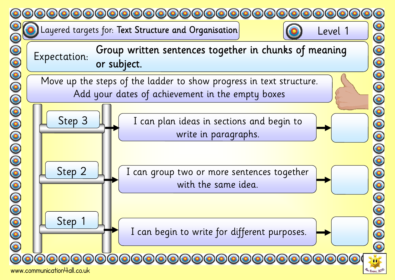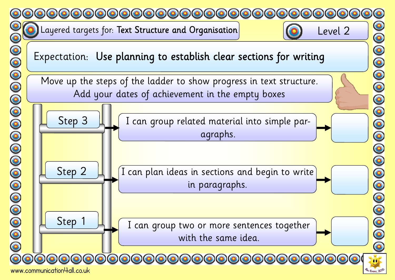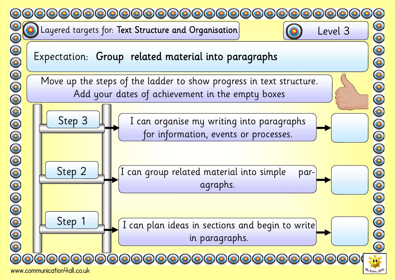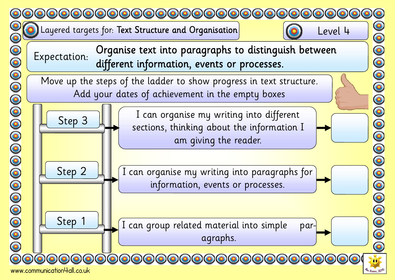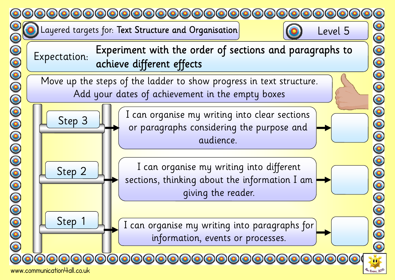